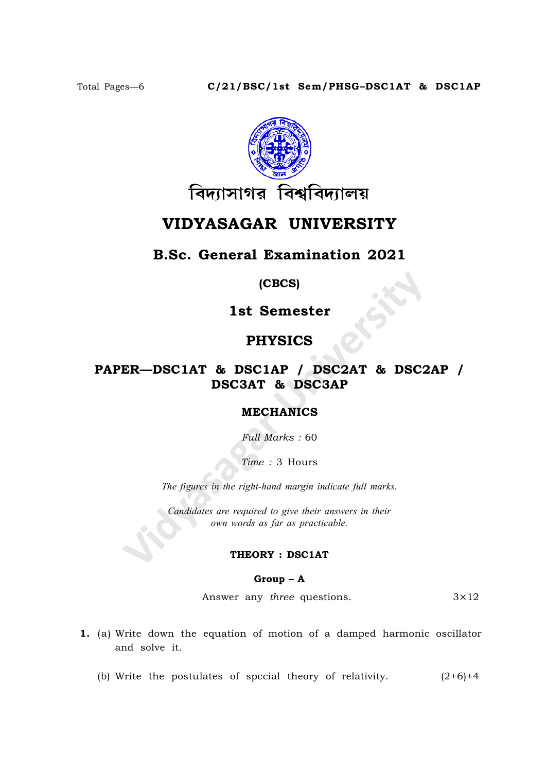

# VIDYASAGAR UNIVERSITY

## B.Sc. General Examination 2021

(CBCS)

1st Semester

## PHYSICS

# PAPER—DSC1AT & DSC1AP / DSC2AT & DSC2AP / DSC3AT & DSC3AP

### MECHANICS

Full Marks : 60

Time : 3 Hours

The figures in the right-hand margin indicate full marks.

Candidates are required to give their answers in their own words as far as practicable.

#### THEORY : DSC1AT

#### Group – A

Answer any *three* questions.  $3 \times 12$ 

- 1. (a) Write down the equation of motion of a damped harmonic oscillator and solve it.
	- (b) Write the postulates of spccial theory of relativity.  $(2+6)+4$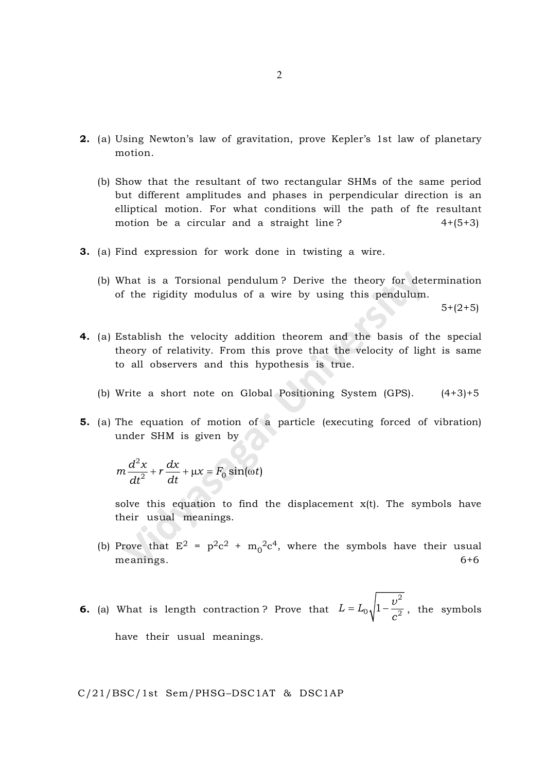- 2. (a) Using Newton's law of gravitation, prove Kepler's 1st law of planetary motion.
	- (b) Show that the resultant of two rectangular SHMs of the same period but different amplitudes and phases in perpendicular direction is an elliptical motion. For what conditions will the path of fte resultant motion be a circular and a straight line?  $4+(5+3)$
- 3. (a) Find expression for work done in twisting a wire.
	- (b) What is a Torsional pendulum ? Derive the theory for determination of the rigidity modulus of a wire by using this pendulum.

 $5+(2+5)$ 

- 4. (a) Establish the velocity addition theorem and the basis of the special theory of relativity. From this prove that the velocity of light is same to all observers and this hypothesis is true.
	- (b) Write a short note on Global Positioning System  $(GPS)$ .  $(4+3)+5$
- 5. (a) The equation of motion of a particle (executing forced of vibration) under SHM is given by

$$
m\frac{d^2x}{dt^2} + r\frac{dx}{dt} + \mu x = F_0 \sin(\omega t)
$$

solve this equation to find the displacement  $x(t)$ . The symbols have their usual meanings.

(b) Prove that  $E^2 = p^2c^2 + m_0^2c^4$ , where the symbols have their usual meanings. 6+6

6. (a) What is length contraction ? Prove that  $L = L_0 \sqrt{1 - \frac{v}{c^2}}$ c 2  $= L_0 \sqrt{1 - \frac{c}{c^2}}$ , the symbols have their usual meanings.

C/21/BSC/1st Sem/PHSG–DSC1AT & DSC1AP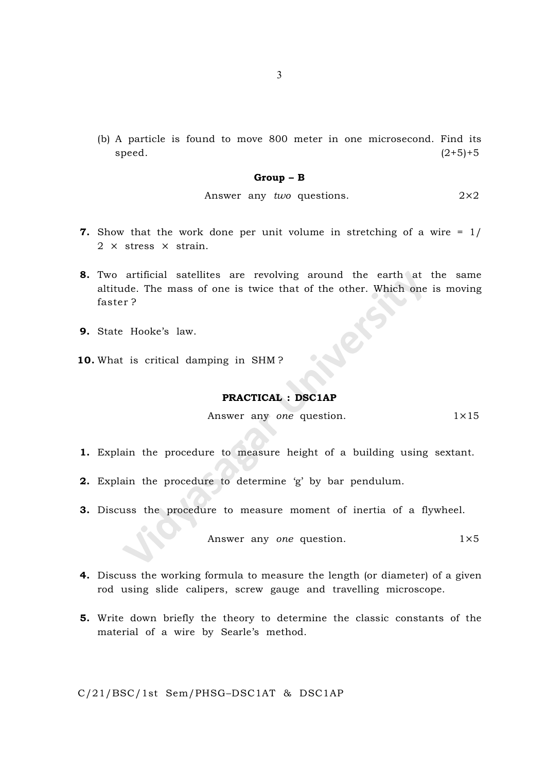(b) A particle is found to move 800 meter in one microsecond. Find its  $\text{speed.}} \qquad (2+5)+5$ 

#### Group – B

Answer any *two* questions. 
$$
2 \times 2
$$

- 7. Show that the work done per unit volume in stretching of a wire = 1/  $2 \times$  stress  $\times$  strain.
- 8. Two artificial satellites are revolving around the earth at the same altitude. The mass of one is twice that of the other. Which one is moving faster ?
- 9. State Hooke's law.
- 10. What is critical damping in SHM?

#### PRACTICAL : DSC1AP

Answer any one question.  $1 \times 15$ 

- 1. Explain the procedure to measure height of a building using sextant.
- 2. Explain the procedure to determine 'g' by bar pendulum.
- 3. Discuss the procedure to measure moment of inertia of a flywheel.

Answer any *one* question. 
$$
1 \times 5
$$

- 4. Discuss the working formula to measure the length (or diameter) of a given rod using slide calipers, screw gauge and travelling microscope.
- 5. Write down briefly the theory to determine the classic constants of the material of a wire by Searle's method.

C/21/BSC/1st Sem/PHSG–DSC1AT & DSC1AP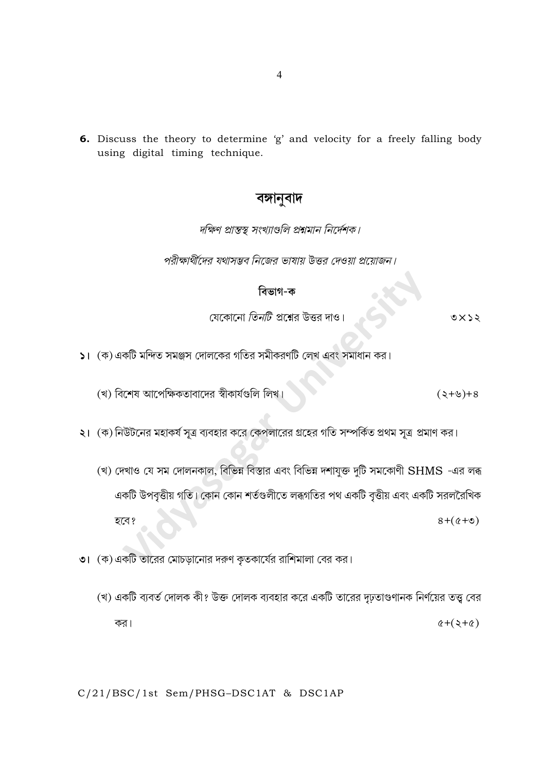6. Discuss the theory to determine 'g' and velocity for a freely falling body using digital timing technique.

## বঙ্গানুবাদ

দক্ষিণ প্রান্তস্থ সংখ্যাগুলি প্রশ্নমান নির্দেশক।

পরীক্ষার্থীদের যথাসম্ভব নিজের ভাষায় উত্তর দেওয়া প্রয়োজন।

### বিভাগ-ক

যেকোনো *তিনটি* প্রশ্নের উত্তর দাও।

- $\mathsf{S}$ ।  $(\mathsf{\Phi})$ একটি মন্দিত সমঞ্জস দোলকের গতির সমীকরণটি লেখ এবং সমাধান কর।
	- (খ) বিশেষ আপেক্ষিকতাবাদের স্বীকার্যগুলি লিখ।  $(2+8)$
- ২। (ক) নিউটনের মহাকর্ষ সূত্র ব্যবহার করে কেপলারের গ্রহের গতি সম্পর্কিত প্রথম সূত্র প্রমাণ কর।
	- (খ) দেখাও যে সম দোলনকাল, বিভিন্ন বিস্তার এবং বিভিন্ন দশাযুক্ত দুটি সমকোণী SHMS -এর লব্ধ একটি উপবৃত্তীয় গতি। কোন কোন শর্তগুলীতে লব্ধগতির পথ একটি বৃত্তীয় এবং একটি সরলরৈখিক হবে?  $8 + (0 + 0)$
- ৩। (ক) একটি তারের মোচড়ানোর দরুণ কৃতকার্যের রাশিমালা বের কর।
	- (খ) একটি ব্যবর্ত দোলক কী? উক্ত দোলক ব্যবহার করে একটি তারের দৃঢ়তাগুণানক নির্ণয়ের তত্ত্ব বের কর।  $(2+\zeta)$

#### C/21/BSC/1st Sem/PHSG-DSC1AT & DSC1AP

 $0 \times 22$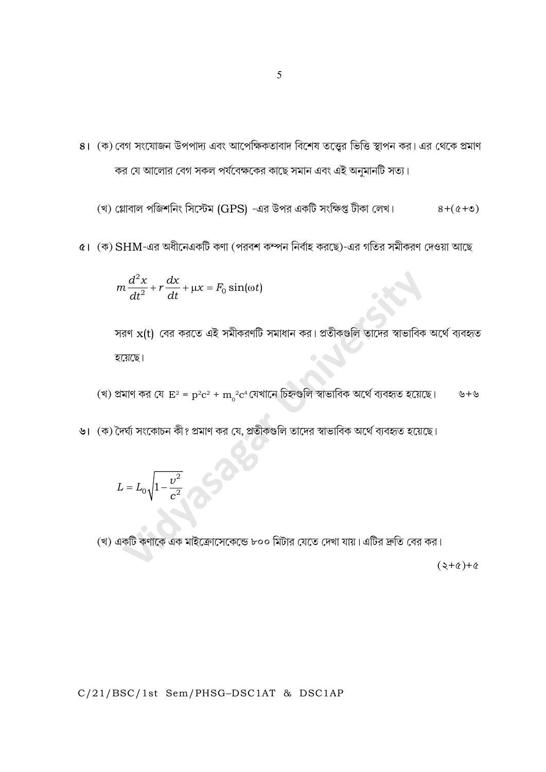8। (ক) বেগ সংযোজন উপপাদ্য এবং আপেক্ষিকতাবাদ বিশেষ তত্ত্বের ভিত্তি স্থাপন কর। এর থেকে প্রমাণ কর যে আলোর বেগ সকল পর্যবেক্ষকের কাছে সমান এবং এই অনুমানটি সত্য।

(খ) গ্লোবাল পজিশনিং সিস্টেম (GPS) -এর উপর একটি সংক্ষিপ্ত টীকা লেখ।  $8+(6+e)$ 

৫। (ক) SHM-এর অধীনেএকটি কণা (পরবশ কম্পন নির্বাহ করছে)-এর গতির সমীকরণ দেওয়া আছে

$$
m\frac{d^2x}{dt^2} + r\frac{dx}{dt} + \mu x = F_0 \sin(\omega t)
$$

সরণ  $x(t)$  বের করতে এই সমীকরণটি সমাধান কর। প্রতীকগুলি তাদের স্বাভাবিক অর্থে ব্যবহৃত হয়েছে।

(খ) প্রমাণ কর যে  $E^2 = p^2c^2 + m_0^2c^4$ যেখানে চিহ্নগুলি স্বাভাবিক অর্থে ব্যবহৃত হয়েছে। ৬+৬

৬। (ক) দৈর্ঘ্য সংকোচন কী? প্রমাণ কর যে, প্রতীকগুলি তাদের স্বাভাবিক অর্থে ব্যবহৃত হয়েছে।

$$
L=L_0\sqrt{1-\frac{v^2}{c^2}}
$$

(খ) একটি কণাকে এক মাইক্রোসেকেন্ডে ৮০০ মিটার যেতে দেখা যায়। এটির দ্রুতি বের কর।

 $(2+\alpha)+\alpha$ 

C/21/BSC/1st Sem/PHSG-DSC1AT & DSC1AP